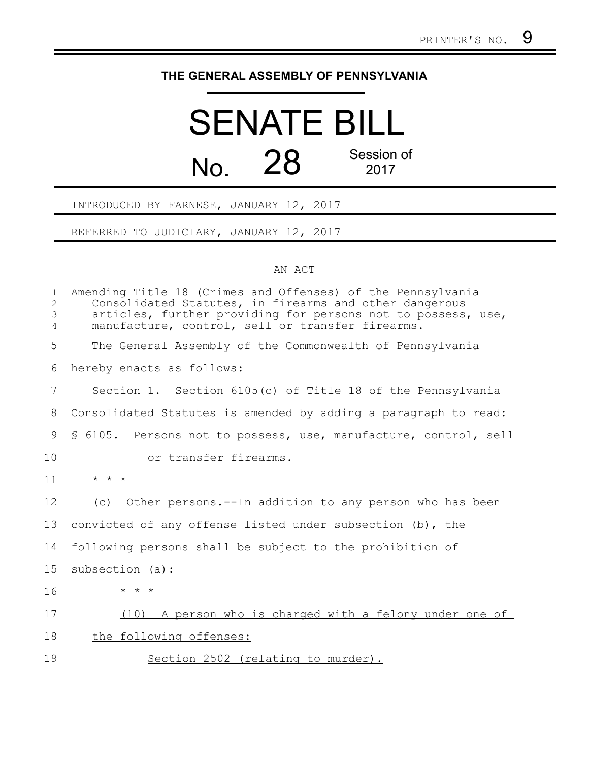## **THE GENERAL ASSEMBLY OF PENNSYLVANIA**

## SENATE BILL No. 28 Session of 2017

INTRODUCED BY FARNESE, JANUARY 12, 2017

REFERRED TO JUDICIARY, JANUARY 12, 2017

## AN ACT

| $\mathbf{1}$<br>$\overline{2}$<br>3<br>$\overline{4}$ | Amending Title 18 (Crimes and Offenses) of the Pennsylvania<br>Consolidated Statutes, in firearms and other dangerous<br>articles, further providing for persons not to possess, use,<br>manufacture, control, sell or transfer firearms. |
|-------------------------------------------------------|-------------------------------------------------------------------------------------------------------------------------------------------------------------------------------------------------------------------------------------------|
| 5                                                     | The General Assembly of the Commonwealth of Pennsylvania                                                                                                                                                                                  |
| 6                                                     | hereby enacts as follows:                                                                                                                                                                                                                 |
| 7                                                     | Section 1. Section 6105(c) of Title 18 of the Pennsylvania                                                                                                                                                                                |
| 8                                                     | Consolidated Statutes is amended by adding a paragraph to read:                                                                                                                                                                           |
| 9                                                     | \$ 6105. Persons not to possess, use, manufacture, control, sell                                                                                                                                                                          |
| 10                                                    | or transfer firearms.                                                                                                                                                                                                                     |
| 11                                                    | $\star$ $\star$ $\star$                                                                                                                                                                                                                   |
| 12                                                    | (c) Other persons.--In addition to any person who has been                                                                                                                                                                                |
| 13                                                    | convicted of any offense listed under subsection (b), the                                                                                                                                                                                 |
| 14                                                    | following persons shall be subject to the prohibition of                                                                                                                                                                                  |
| 15                                                    | subsection (a):                                                                                                                                                                                                                           |
| 16                                                    | $\star$ $\star$ $\star$                                                                                                                                                                                                                   |
| 17                                                    | (10) A person who is charged with a felony under one of                                                                                                                                                                                   |
| 18                                                    | the following offenses:                                                                                                                                                                                                                   |
| 19                                                    | Section 2502 (relating to murder).                                                                                                                                                                                                        |